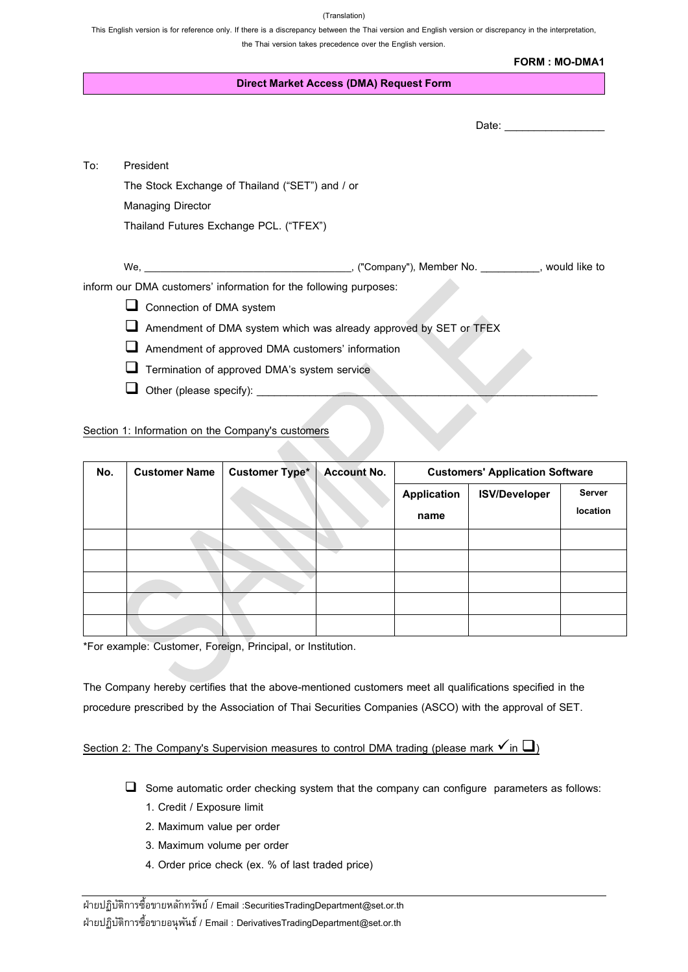(Translation)

This English version is for reference only. If there is a discrepancy between the Thai version and English version or discrepancy in the interpretation, the Thai version takes precedence over the English version.

|     | <b>Direct Market Access (DMA) Request Form</b>                    |  |  |  |  |  |
|-----|-------------------------------------------------------------------|--|--|--|--|--|
|     |                                                                   |  |  |  |  |  |
|     |                                                                   |  |  |  |  |  |
| To: | President                                                         |  |  |  |  |  |
|     | The Stock Exchange of Thailand ("SET") and / or                   |  |  |  |  |  |
|     | <b>Managing Director</b>                                          |  |  |  |  |  |
|     | Thailand Futures Exchange PCL. ("TFEX")                           |  |  |  |  |  |
|     |                                                                   |  |  |  |  |  |
|     |                                                                   |  |  |  |  |  |
|     | inform our DMA customers' information for the following purposes: |  |  |  |  |  |
|     | Connection of DMA system                                          |  |  |  |  |  |
|     | Amendment of DMA system which was already approved by SET or TFEX |  |  |  |  |  |
|     | Amendment of approved DMA customers' information                  |  |  |  |  |  |
|     | Termination of approved DMA's system service                      |  |  |  |  |  |
|     | Other (please specify):                                           |  |  |  |  |  |

Section 1: Information on the Company's customers

| No. | <b>Customer Name</b> | <b>Customer Type*</b> | <b>Account No.</b> | <b>Customers' Application Software</b> |                      |                    |
|-----|----------------------|-----------------------|--------------------|----------------------------------------|----------------------|--------------------|
|     |                      |                       |                    | <b>Application</b><br>name             | <b>ISV/Developer</b> | Server<br>location |
|     |                      |                       |                    |                                        |                      |                    |
|     |                      |                       |                    |                                        |                      |                    |
|     |                      |                       |                    |                                        |                      |                    |
|     |                      |                       |                    |                                        |                      |                    |
|     |                      |                       |                    |                                        |                      |                    |

\*For example: Customer, Foreign, Principal, or Institution.

The Company hereby certifies that the above-mentioned customers meet all qualifications specified in the procedure prescribed by the Association of Thai Securities Companies (ASCO) with the approval of SET.

## Section 2: The Company's Supervision measures to control DMA trading (please mark  $\checkmark$  in  $\Box$ )

- ❑ Some automatic order checking system that the company can configure parameters as follows:
	- 1. Credit / Exposure limit
	- 2. Maximum value per order
	- 3. Maximum volume per order
	- 4. Order price check (ex. % of last traded price)